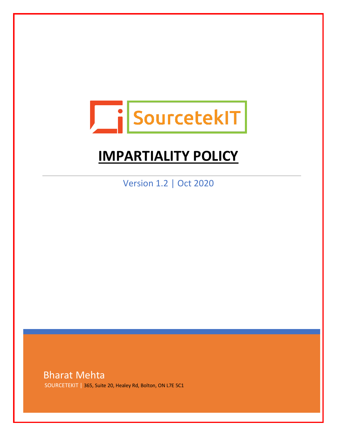

# **IMPARTIALITY POLICY**

Version 1.2 | Oct 2020

Bharat Mehta SOURCETEKIT | 365, Suite 20, Healey Rd, Bolton, ON L7E 5C1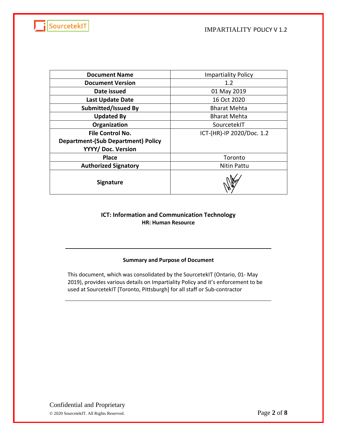

| <b>Document Name</b>                      | <b>Impartiality Policy</b> |
|-------------------------------------------|----------------------------|
| <b>Document Version</b>                   | 1.2                        |
| Date issued                               | 01 May 2019                |
| <b>Last Update Date</b>                   | 16 Oct 2020                |
| Submitted/Issued By                       | <b>Bharat Mehta</b>        |
| <b>Updated By</b>                         | <b>Bharat Mehta</b>        |
| Organization                              | SourcetekIT                |
| <b>File Control No.</b>                   | ICT-(HR)-IP 2020/Doc. 1.2  |
| <b>Department-(Sub Department) Policy</b> |                            |
| YYYY/ Doc. Version                        |                            |
| <b>Place</b>                              | Toronto                    |
| <b>Authorized Signatory</b>               | Nitin Pattu                |
| <b>Signature</b>                          |                            |

#### **ICT: Information and Communication Technology HR: Human Resource**

#### **Summary and Purpose of Document**

This document, which was consolidated by the SourcetekIT (Ontario, 01- May 2019), provides various details on Impartiality Policy and it's enforcement to be used at SourcetekIT [Toronto, Pittsburgh] for all staff or Sub-contractor

Confidential and Proprietary © <sup>2020</sup> SourcetekIT. All Rights Reserved. Page **2** of **8**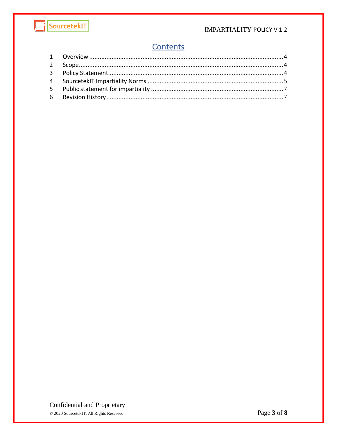

#### **IMPARTIALITY POLICY V1.2**

## Contents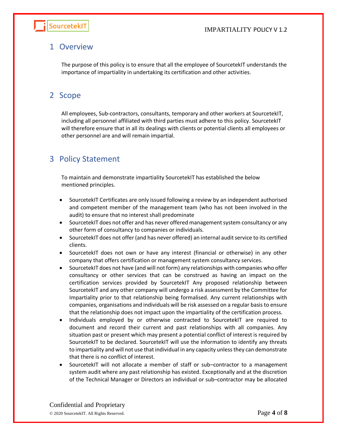

## <span id="page-3-0"></span>1 Overview

The purpose of this policy is to ensure that all the employee of SourcetekIT understands the importance of impartiality in undertaking its certification and other activities.

## <span id="page-3-1"></span>2 Scope

All employees, Sub-contractors, consultants, temporary and other workers at SourcetekIT, including all personnel affiliated with third parties must adhere to this policy. SourcetekIT will therefore ensure that in all its dealings with clients or potential clients all employees or other personnel are and will remain impartial.

## <span id="page-3-2"></span>3 Policy Statement

To maintain and demonstrate impartiality SourcetekIT has established the below mentioned principles.

- SourcetekIT Certificates are only issued following a review by an independent authorised and competent member of the management team (who has not been involved in the audit) to ensure that no interest shall predominate
- SourcetekIT does not offer and has never offered management system consultancy or any other form of consultancy to companies or individuals.
- SourcetekIT does not offer (and has never offered) an internal audit service to its certified clients.
- SourcetekIT does not own or have any interest (financial or otherwise) in any other company that offers certification or management system consultancy services.
- SourcetekIT does not have (and will not form) any relationships with companies who offer consultancy or other services that can be construed as having an impact on the certification services provided by SourcetekIT Any proposed relationship between SourcetekIT and any other company will undergo a risk assessment by the Committee for Impartiality prior to that relationship being formalised. Any current relationships with companies, organisations and individuals will be risk assessed on a regular basis to ensure that the relationship does not impact upon the impartiality of the certification process.
- Individuals employed by or otherwise contracted to SourcetekIT are required to document and record their current and past relationships with all companies. Any situation past or present which may present a potential conflict of interest is required by SourcetekIT to be declared. SourcetekIT will use the information to identify any threats to impartiality and will not use that individual in any capacity unless they can demonstrate that there is no conflict of interest.
- SourcetekIT will not allocate a member of staff or sub–contractor to a management system audit where any past relationship has existed. Exceptionally and at the discretion of the Technical Manager or Directors an individual or sub–contractor may be allocated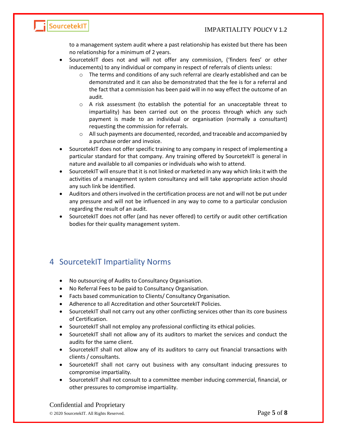

to a management system audit where a past relationship has existed but there has been no relationship for a minimum of 2 years.

- SourcetekIT does not and will not offer any commission, ('finders fees' or other inducements) to any individual or company in respect of referrals of clients unless:
	- o The terms and conditions of any such referral are clearly established and can be demonstrated and it can also be demonstrated that the fee is for a referral and the fact that a commission has been paid will in no way effect the outcome of an audit.
	- $\circ$  A risk assessment (to establish the potential for an unacceptable threat to impartiality) has been carried out on the process through which any such payment is made to an individual or organisation (normally a consultant) requesting the commission for referrals.
	- $\circ$  All such payments are documented, recorded, and traceable and accompanied by a purchase order and invoice.
- SourcetekIT does not offer specific training to any company in respect of implementing a particular standard for that company. Any training offered by SourcetekIT is general in nature and available to all companies or individuals who wish to attend.
- SourcetekIT will ensure that it is not linked or marketed in any way which links it with the activities of a management system consultancy and will take appropriate action should any such link be identified.
- Auditors and others involved in the certification process are not and will not be put under any pressure and will not be influenced in any way to come to a particular conclusion regarding the result of an audit.
- SourcetekIT does not offer (and has never offered) to certify or audit other certification bodies for their quality management system.

## <span id="page-4-0"></span>4 SourcetekIT Impartiality Norms

- No outsourcing of Audits to Consultancy Organisation.
- No Referral Fees to be paid to Consultancy Organisation.
- Facts based communication to Clients/ Consultancy Organisation.
- Adherence to all Accreditation and other SourcetekIT Policies.
- SourcetekIT shall not carry out any other conflicting services other than its core business of Certification.
- SourcetekIT shall not employ any professional conflicting its ethical policies.
- SourcetekIT shall not allow any of its auditors to market the services and conduct the audits for the same client.
- SourcetekIT shall not allow any of its auditors to carry out financial transactions with clients / consultants.
- SourcetekIT shall not carry out business with any consultant inducing pressures to compromise impartiality.
- SourcetekIT shall not consult to a committee member inducing commercial, financial, or other pressures to compromise impartiality.

Confidential and Proprietary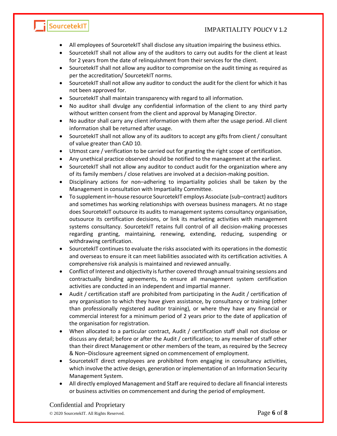#### IMPARTIALITY POLICY V 1.2

- All employees of SourcetekIT shall disclose any situation impairing the business ethics.
- SourcetekIT shall not allow any of the auditors to carry out audits for the client at least for 2 years from the date of relinquishment from their services for the client.
- SourcetekIT shall not allow any auditor to compromise on the audit timing as required as per the accreditation/ SourcetekIT norms.
- SourcetekIT shall not allow any auditor to conduct the audit for the client for which it has not been approved for.
- SourcetekIT shall maintain transparency with regard to all information.
- No auditor shall divulge any confidential information of the client to any third party without written consent from the client and approval by Managing Director.
- No auditor shall carry any client information with them after the usage period. All client information shall be returned after usage.
- SourcetekIT shall not allow any of its auditors to accept any gifts from client / consultant of value greater than CAD 10.
- Utmost care / verification to be carried out for granting the right scope of certification.
- Any unethical practice observed should be notified to the management at the earliest.
- SourcetekIT shall not allow any auditor to conduct audit for the organization where any of its family members / close relatives are involved at a decision-making position.
- Disciplinary actions for non–adhering to impartiality policies shall be taken by the Management in consultation with Impartiality Committee.
- To supplement in–house resource SourcetekIT employs Associate (sub–contract) auditors and sometimes has working relationships with overseas business managers. At no stage does SourcetekIT outsource its audits to management systems consultancy organisation, outsource its certification decisions, or link its marketing activities with management systems consultancy. SourcetekIT retains full control of all decision-making processes regarding granting, maintaining, renewing, extending, reducing, suspending or withdrawing certification.
- SourcetekIT continues to evaluate the risks associated with its operations in the domestic and overseas to ensure it can meet liabilities associated with its certification activities. A comprehensive risk analysis is maintained and reviewed annually.
- Conflict of Interest and objectivity is further covered through annual training sessions and contractually binding agreements, to ensure all management system certification activities are conducted in an independent and impartial manner.
- Audit / certification staff are prohibited from participating in the Audit / certification of any organisation to which they have given assistance, by consultancy or training (other than professionally registered auditor training), or where they have any financial or commercial interest for a minimum period of 2 years prior to the date of application of the organisation for registration.
- When allocated to a particular contract, Audit / certification staff shall not disclose or discuss any detail; before or after the Audit / certification; to any member of staff other than their direct Management or other members of the team, as required by the Secrecy & Non–Disclosure agreement signed on commencement of employment.
- SourcetekIT direct employees are prohibited from engaging in consultancy activities, which involve the active design, generation or implementation of an Information Security Management System.
- All directly employed Management and Staff are required to declare all financial interests or business activities on commencement and during the period of employment.

#### Confidential and Proprietary

SourcetekIT

© <sup>2020</sup> SourcetekIT. All Rights Reserved. Page **6** of **8**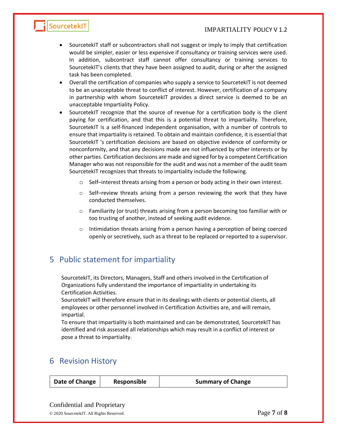#### IMPARTIALITY POLICY V 1.2



- SourcetekIT staff or subcontractors shall not suggest or imply to imply that certification would be simpler, easier or less expensive if consultancy or training services were used. In addition, subcontract staff cannot offer consultancy or training services to SourcetekIT's clients that they have been assigned to audit, during or after the assigned task has been completed.
- Overall the certification of companies who supply a service to SourcetekIT is not deemed to be an unacceptable threat to conflict of interest. However, certification of a company in partnership with whom SourcetekIT provides a direct service is deemed to be an unacceptable Impartiality Policy.
- SourcetekIT recognize that the source of revenue for a certification body is the client paying for certification, and that this is a potential threat to impartiality. Therefore, SourcetekIT is a self-financed independent organisation, with a number of controls to ensure that impartiality is retained. To obtain and maintain confidence, it is essential that SourcetekIT 's certification decisions are based on objective evidence of conformity or nonconformity, and that any decisions made are not influenced by other interests or by other parties. Certification decisions are made and signed for by a competent Certification Manager who was not responsible for the audit and was not a member of the audit team SourcetekIT recognizes that threats to impartiality include the following.
	- o Self–interest threats arising from a person or body acting in their own interest.
	- o Self–review threats arising from a person reviewing the work that they have conducted themselves.
	- $\circ$  Familiarity (or trust) threats arising from a person becoming too familiar with or too trusting of another, instead of seeking audit evidence.
	- $\circ$  Intimidation threats arising from a person having a perception of being coerced openly or secretively, such as a threat to be replaced or reported to a supervisor.

## <span id="page-6-0"></span>5 Public statement for impartiality

SourcetekIT, its Directors, Managers, Staff and others involved in the Certification of Organizations fully understand the importance of impartiality in undertaking its Certification Activities.

SourcetekIT will therefore ensure that in its dealings with clients or potential clients, all employees or other personnel involved in Certification Activities are, and will remain, impartial.

To ensure that impartiality is both maintained and can be demonstrated, SourcetekIT has identified and risk assessed all relationships which may result in a conflict of interest or pose a threat to impartiality.

### <span id="page-6-1"></span>6 Revision History

| Date of Change<br><b>Responsible</b><br><b>Summary of Change</b> |
|------------------------------------------------------------------|
|------------------------------------------------------------------|

Confidential and Proprietary

© <sup>2020</sup> SourcetekIT. All Rights Reserved. Page **7** of **8**